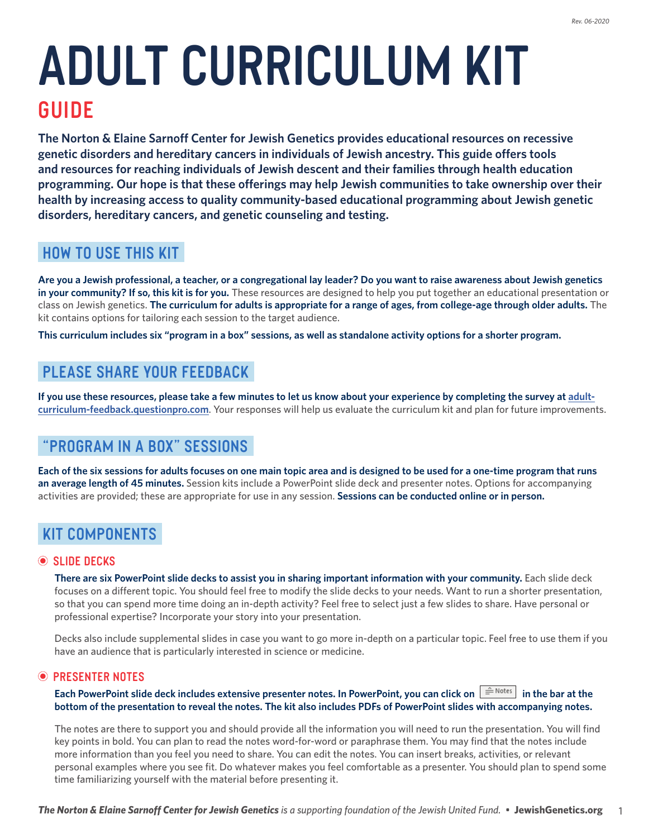# **Adult Curriculum Kit GUIDE**

**The Norton & Elaine Sarnoff Center for Jewish Genetics provides educational resources on recessive genetic disorders and hereditary cancers in individuals of Jewish ancestry. This guide offers tools and resources for reaching individuals of Jewish descent and their families through health education programming. Our hope is that these offerings may help Jewish communities to take ownership over their health by increasing access to quality community-based educational programming about Jewish genetic disorders, hereditary cancers, and genetic counseling and testing.** 

# **How to Use this Kit**

**Are you a Jewish professional, a teacher, or a congregational lay leader? Do you want to raise awareness about Jewish genetics in your community? If so, this kit is for you.** These resources are designed to help you put together an educational presentation or class on Jewish genetics. The curriculum for adults is appropriate for a range of ages, from college-age through older adults. The kit contains options for tailoring each session to the target audience.

This curriculum includes six "program in a box" sessions, as well as standalone activity options for a shorter program.  $J_{\rm eff}$  to take our their health by increasing access to  $\sim$ 

### PLEASE SHARE YOUR FEEDBACK **ARE SHARE TO YOU WANT TO YOU WANT TO YOU WANT TO YOU WANT TO PART TO PART TO PART TO** How to Use this Kit

If you use these resources, please take a few minutes to let us know about your experience by completing the survey at [adult](https://adult-curriculum-feedback.questionpro.com/)[curriculum-feedback.questionpro.com](https://adult-curriculum-feedback.questionpro.com/). Your responses will help us evaluate the curriculum kit and plan for future improvements. es, piease take a few minutes to let us know about your experience by completing the sur

# "PROGRAM IN A BOX" SESSIONS

.<br>Each of the six sessions for adults focuses on one main topic area and is designed to be used for a one-time program that runs **an average length of 45 minutes.** Session kits include a PowerPoint slide deck and presenter notes. Options for accompanying activities are provided; these are appropriate for use in any session. **Sessions can be conducted online or in person.**<br> riculaums-fecuses on one main topic area and is designed to be used for a one-time progra

#### **Kit Components**  Each of the six sessions for adults focuses on one main topic area and is designed to be used for a one-time program that runs an average length of  $45$  minutes. Session kits include a PowerPoint slide deck and presenter notes. Options for  $\alpha$ accompanying activities are provided; these are appropriate for use in any session.

#### **Slide Decks**

**There are six PowerPoint slide decks to assist you in sharing important information with your community.** Each slide deck **Slide Decks** focuses on a different topic. You should feel free to modify the slide decks to your needs. Want to run a shorter presentation, so that you can spend more time doing an in-depth activity? Feel free to select just a few slides to share. Have personal or professional expertise? Incorporate your story into your presentation. definition  $\alpha$  and  $\alpha$  and  $\alpha$  are such that  $\alpha$  is the slide of  $\alpha$  is a set  $\alpha$  shorter to shorter the shorter to  $\alpha$ 

Decks also include supplemental slides in case you want to go more in-depth on a particular topic. Feel free to use them if you have an audience that is particularly interested in science or medicine. at is particularly interested in science or medicine.

#### $\odot$  **PRESENTER NOTES Presenter Notes**

#### Each PowerPoint slide deck includes extensive presenter notes. In PowerPoint, you can click on  $\;\|\hat{=}\|^{\rm Notes}$  in the bar at the bottom of the presentation to reveal the notes. The kit also includes PDFs of PowerPoint slides with accompanying notes. notes.

The notes are there to support you and should provide all the information you will need to run the presentation. You will find 1 key points in bold. You can plan to read the notes word-for-word or paraphrase them. You may find that the notes include more information than you feel you need to share. You can edit the notes. You can insert breaks, activities, or relevant personal examples where you see fit. Do whatever makes you feel comfortable as a presenter. You should plan to spend some time familiarizing yourself with the material before presenting it.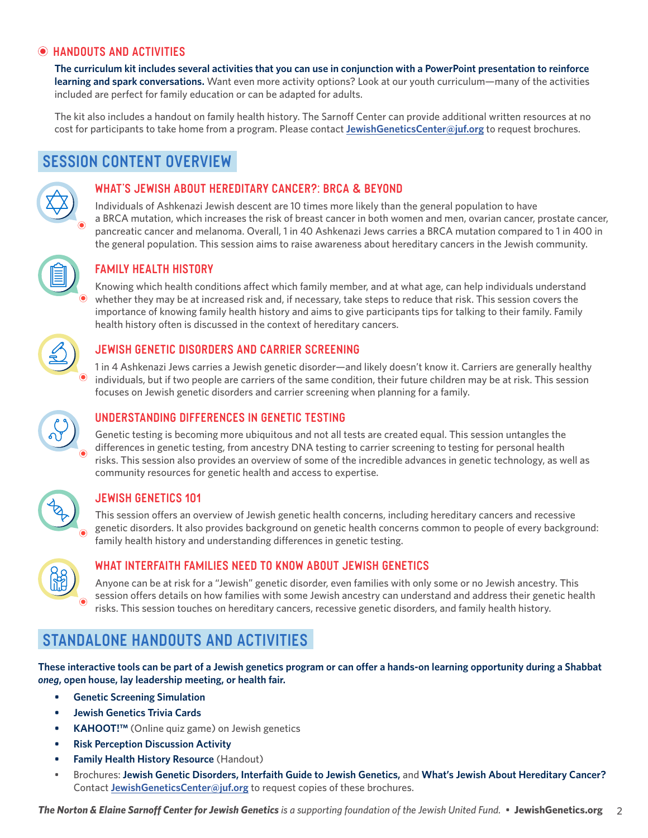## **Handouts and Activities**

**The curriculum kit includes several activities that you can use in conjunction with a PowerPoint presentation to reinforce learning and spark conversations.** Want even more activity options? Look at our youth curriculum—many of the activities included are perfect for family education or can be adapted for adults.

The kit also includes a handout on family health history. The Sarnoff Center can provide additional written resources at no cost for participants to take home from a program. Please contact **[JewishGeneticsCenter@juf.org](mailto:JewishGeneticsCenter%40juf.org?subject=Request%20for%20Brochures)** to request brochures.

# **Session Content Overview**



#### **What's Jewish About Hereditary Cancer?: BRCA & Beyond**

Individuals of Ashkenazi Jewish descent are 10 times more likely than the general population to have a BRCA mutation, which increases the risk of breast cancer in both women and men, ovarian cancer, prostate cancer, pancreatic cancer and melanoma. Overall, 1 in 40 Ashkenazi Jews carries a BRCA mutation compared to 1 in 400 in the general population. This session aims to raise awareness about hereditary cancers in the Jewish community.



## **Family Health History**

Knowing which health conditions affect which family member, and at what age, can help individuals understand whether they may be at increased risk and, if necessary, take steps to reduce that risk. This session covers the importance of knowing family health history and aims to give participants tips for talking to their family. Family health history often is discussed in the context of hereditary cancers.



#### **Jewish Genetic Disorders and Carrier Screening**

1 in 4 Ashkenazi Jews carries a Jewish genetic disorder—and likely doesn't know it. Carriers are generally healthy individuals, but if two people are carriers of the same condition, their future children may be at risk. This session focuses on Jewish genetic disorders and carrier screening when planning for a family.



#### **Understanding Differences in Genetic Testing**

Genetic testing is becoming more ubiquitous and not all tests are created equal. This session untangles the differences in genetic testing, from ancestry DNA testing to carrier screening to testing for personal health risks. This session also provides an overview of some of the incredible advances in genetic technology, as well as community resources for genetic health and access to expertise.



### **Jewish Genetics 101**

This session offers an overview of Jewish genetic health concerns, including hereditary cancers and recessive genetic disorders. It also provides background on genetic health concerns common to people of every background: family health history and understanding differences in genetic testing.



#### **What Interfaith Families Need to Know About Jewish Genetics**

Anyone can be at risk for a "Jewish" genetic disorder, even families with only some or no Jewish ancestry. This session offers details on how families with some Jewish ancestry can understand and address their genetic health risks. This session touches on hereditary cancers, recessive genetic disorders, and family health history.

# **Standalone Handouts and Activities**

**These interactive tools can be part of a Jewish genetics program or can offer a hands-on learning opportunity during a Shabbat**  *oneg***, open house, lay leadership meeting, or health fair.**

- **• Genetic Screening Simulation**
- **• Jewish Genetics Trivia Cards**
- **• KAHOOT!™** (Online quiz game) on Jewish genetics
- **• Risk Perception Discussion Activity**
- **• Family Health History Resource** (Handout)
- Brochures: **Jewish Genetic Disorders, Interfaith Guide to Jewish Genetics,** and **What's Jewish About Hereditary Cancer?**  Contact **J[ewishGeneticsCenter@juf.org](mailto:JewishGeneticsCenter%40juf.org?subject=Request%20for%20Brochures)** to request copies of these brochures.